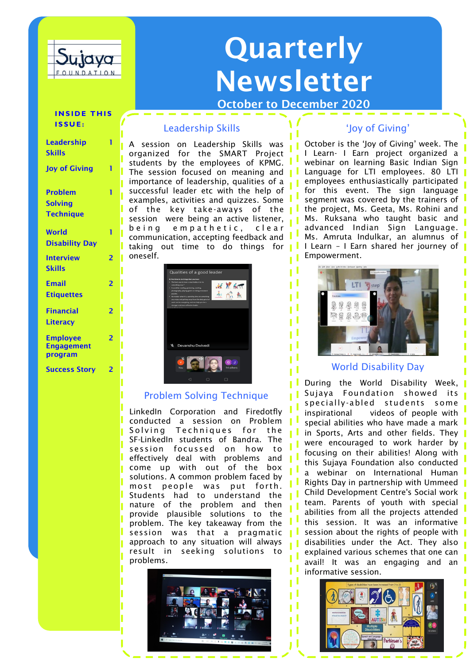

# Quarterly Newsletter

October to December 2020

#### **INSIDE THIS I S S U E :**

1

 $\overline{2}$ 

2

2

 $\overline{2}$ 

# Leadership Skills

A session on Leadership Skills was organized for the SMART Project students by the employees of KPMG. The session focused on meaning and **I** importance of leadership, qualities of a successful leader etc with the help of examples, activities and quizzes. Some of the key take-aways of the session were being an active listener, being empathetic, clear communication, accepting feedback and taking out time to do things for oneself.



# Problem Solving Technique

LinkedIn Corporation and Firedotfly conducted a session on Problem Solving Techniques for the SF-LinkedIn students of Bandra. The session focussed on how to effectively deal with problems and come up with out of the box solutions. A common problem faced by most people was put forth. Students had to understand the nature of the problem and then provide plausible solutions to the problem. The key takeaway from the session was that a pragmatic approach to any situation will always result in seeking solutions to problems.



## 'Joy of Giving'

October is the 'Joy of Giving' week. The I Learn- I Earn project organized a webinar on learning Basic Indian Sign Language for LTI employees. 80 LTI employees enthusiastically participated for this event. The sign language segment was covered by the trainers of the project, Ms. Geeta, Ms. Rohini and Ms. Ruksana who taught basic and advanced Indian Sign Language. Ms. Amruta Indulkar, an alumnus of I Learn – I Earn shared her journey of Empowerment.



## World Disability Day

specially-abled students some During the World Disability Week, Sujaya Foundation showed its inspirational videos of people with special abilities who have made a mark in Sports, Arts and other fields. They were encouraged to work harder by focusing on their abilities! Along with this Sujaya Foundation also conducted a webinar on International Human Rights Day in partnership with Ummeed Child Development Centre's Social work team. Parents of youth with special abilities from all the projects attended this session. It was an informative session about the rights of people with disabilities under the Act. They also explained various schemes that one can avail! It was an engaging and an informative session.



| Leadership<br>Skills |  |
|----------------------|--|
| Joy of Giving        |  |
| Problem              |  |

Solving **Technique** 

| World                 |  |
|-----------------------|--|
| <b>Disability Day</b> |  |
|                       |  |
| <b>Interview</b>      |  |
| <b>Skills</b>         |  |
|                       |  |
| <b>Email</b>          |  |
| <b>Etiauettes</b>     |  |
|                       |  |

## Financial **Literacy**

Employee

Engagement program

Success Story 2